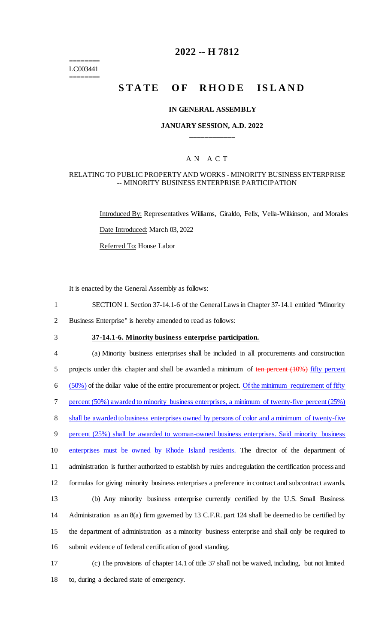======== LC003441 ========

# **2022 -- H 7812**

# **STATE OF RHODE ISLAND**

#### **IN GENERAL ASSEMBLY**

#### **JANUARY SESSION, A.D. 2022 \_\_\_\_\_\_\_\_\_\_\_\_**

# A N A C T

#### RELATING TO PUBLIC PROPERTY AND WORKS - MINORITY BUSINESS ENTERPRISE -- MINORITY BUSINESS ENTERPRISE PARTICIPATION

Introduced By: Representatives Williams, Giraldo, Felix, Vella-Wilkinson, and Morales Date Introduced: March 03, 2022 Referred To: House Labor

It is enacted by the General Assembly as follows:

- 1 SECTION 1. Section 37-14.1-6 of the General Laws in Chapter 37-14.1 entitled "Minority
- 2 Business Enterprise" is hereby amended to read as follows:
- 

## 3 **37-14.1-6. Minority business enterprise participation.**

 (a) Minority business enterprises shall be included in all procurements and construction 5 projects under this chapter and shall be awarded a minimum of ten percent (10%) fifty percent ( $50\%$ ) of the dollar value of the entire procurement or project. Of the minimum requirement of fifty percent (50%) awarded to minority business enterprises, a minimum of twenty-five percent (25%) shall be awarded to business enterprises owned by persons of color and a minimum of twenty-five percent (25%) shall be awarded to woman-owned business enterprises. Said minority business enterprises must be owned by Rhode Island residents. The director of the department of administration is further authorized to establish by rules and regulation the certification process and formulas for giving minority business enterprises a preference in contract and subcontract awards. (b) Any minority business enterprise currently certified by the U.S. Small Business Administration as an 8(a) firm governed by 13 C.F.R. part 124 shall be deemed to be certified by the department of administration as a minority business enterprise and shall only be required to submit evidence of federal certification of good standing. (c) The provisions of chapter 14.1 of title 37 shall not be waived, including, but not limited

18 to, during a declared state of emergency.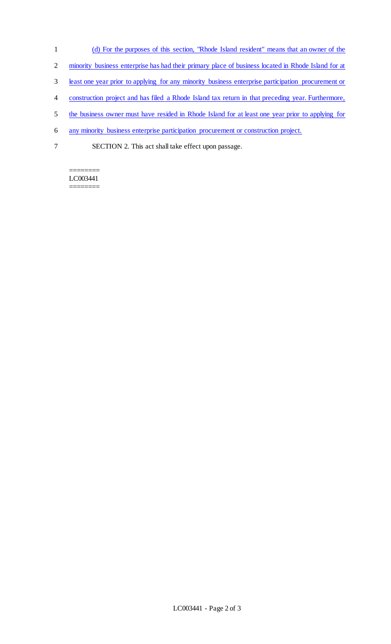- 1 (d) For the purposes of this section, "Rhode Island resident" means that an owner of the
- 2 minority business enterprise has had their primary place of business located in Rhode Island for at
- 3 least one year prior to applying for any minority business enterprise participation procurement or
- 4 construction project and has filed a Rhode Island tax return in that preceding year. Furthermore,
- 5 the business owner must have resided in Rhode Island for at least one year prior to applying for
- 6 any minority business enterprise participation procurement or construction project.
- 7 SECTION 2. This act shall take effect upon passage.

======== LC003441 ========